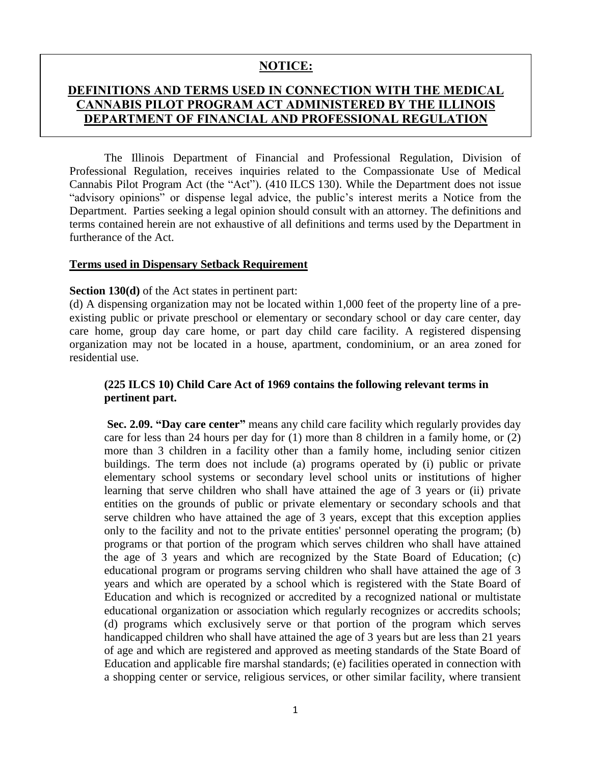# **NOTICE:**

# **DEFINITIONS AND TERMS USED IN CONNECTION WITH THE MEDICAL CANNABIS PILOT PROGRAM ACT ADMINISTERED BY THE ILLINOIS DEPARTMENT OF FINANCIAL AND PROFESSIONAL REGULATION**

The Illinois Department of Financial and Professional Regulation, Division of Professional Regulation, receives inquiries related to the Compassionate Use of Medical Cannabis Pilot Program Act (the "Act"). (410 ILCS 130). While the Department does not issue "advisory opinions" or dispense legal advice, the public's interest merits a Notice from the Department. Parties seeking a legal opinion should consult with an attorney. The definitions and terms contained herein are not exhaustive of all definitions and terms used by the Department in furtherance of the Act.

#### **Terms used in Dispensary Setback Requirement**

#### **Section 130(d)** of the Act states in pertinent part:

(d) A dispensing organization may not be located within 1,000 feet of the property line of a preexisting public or private preschool or elementary or secondary school or day care center, day care home, group day care home, or part day child care facility. A registered dispensing organization may not be located in a house, apartment, condominium, or an area zoned for residential use.

# **(225 ILCS 10) Child Care Act of 1969 contains the following relevant terms in pertinent part.**

**Sec. 2.09. "Day care center"** means any child care facility which regularly provides day care for less than 24 hours per day for (1) more than 8 children in a family home, or (2) more than 3 children in a facility other than a family home, including senior citizen buildings. The term does not include (a) programs operated by (i) public or private elementary school systems or secondary level school units or institutions of higher learning that serve children who shall have attained the age of 3 years or (ii) private entities on the grounds of public or private elementary or secondary schools and that serve children who have attained the age of 3 years, except that this exception applies only to the facility and not to the private entities' personnel operating the program; (b) programs or that portion of the program which serves children who shall have attained the age of 3 years and which are recognized by the State Board of Education; (c) educational program or programs serving children who shall have attained the age of 3 years and which are operated by a school which is registered with the State Board of Education and which is recognized or accredited by a recognized national or multistate educational organization or association which regularly recognizes or accredits schools; (d) programs which exclusively serve or that portion of the program which serves handicapped children who shall have attained the age of 3 years but are less than 21 years of age and which are registered and approved as meeting standards of the State Board of Education and applicable fire marshal standards; (e) facilities operated in connection with a shopping center or service, religious services, or other similar facility, where transient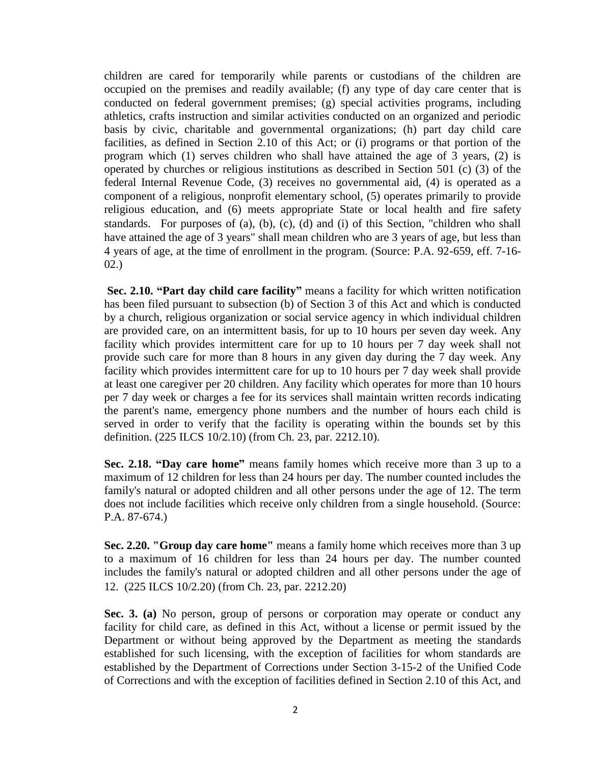children are cared for temporarily while parents or custodians of the children are occupied on the premises and readily available; (f) any type of day care center that is conducted on federal government premises; (g) special activities programs, including athletics, crafts instruction and similar activities conducted on an organized and periodic basis by civic, charitable and governmental organizations; (h) part day child care facilities, as defined in Section 2.10 of this Act; or (i) programs or that portion of the program which (1) serves children who shall have attained the age of 3 years, (2) is operated by churches or religious institutions as described in Section 501 (c) (3) of the federal Internal Revenue Code, (3) receives no governmental aid, (4) is operated as a component of a religious, nonprofit elementary school, (5) operates primarily to provide religious education, and (6) meets appropriate State or local health and fire safety standards. For purposes of (a), (b), (c), (d) and (i) of this Section, "children who shall have attained the age of 3 years" shall mean children who are 3 years of age, but less than 4 years of age, at the time of enrollment in the program. (Source: P.A. 92-659, eff. 7-16- 02.)

**Sec. 2.10. "Part day child care facility"** means a facility for which written notification has been filed pursuant to subsection (b) of Section 3 of this Act and which is conducted by a church, religious organization or social service agency in which individual children are provided care, on an intermittent basis, for up to 10 hours per seven day week. Any facility which provides intermittent care for up to 10 hours per 7 day week shall not provide such care for more than 8 hours in any given day during the 7 day week. Any facility which provides intermittent care for up to 10 hours per 7 day week shall provide at least one caregiver per 20 children. Any facility which operates for more than 10 hours per 7 day week or charges a fee for its services shall maintain written records indicating the parent's name, emergency phone numbers and the number of hours each child is served in order to verify that the facility is operating within the bounds set by this definition. (225 ILCS 10/2.10) (from Ch. 23, par. 2212.10).

**Sec. 2.18. "Day care home"** means family homes which receive more than 3 up to a maximum of 12 children for less than 24 hours per day. The number counted includes the family's natural or adopted children and all other persons under the age of 12. The term does not include facilities which receive only children from a single household. (Source: P.A. 87-674.)

**Sec. 2.20. "Group day care home"** means a family home which receives more than 3 up to a maximum of 16 children for less than 24 hours per day. The number counted includes the family's natural or adopted children and all other persons under the age of 12. (225 ILCS 10/2.20) (from Ch. 23, par. 2212.20)

**Sec. 3. (a)** No person, group of persons or corporation may operate or conduct any facility for child care, as defined in this Act, without a license or permit issued by the Department or without being approved by the Department as meeting the standards established for such licensing, with the exception of facilities for whom standards are established by the Department of Corrections under Section 3-15-2 of the Unified Code of Corrections and with the exception of facilities defined in Section 2.10 of this Act, and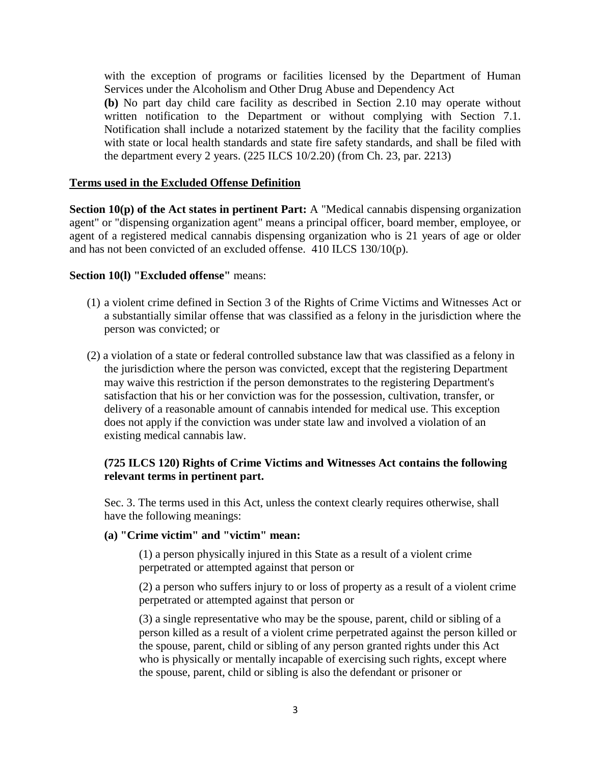with the exception of programs or facilities licensed by the Department of Human Services under the Alcoholism and Other Drug Abuse and Dependency Act

**(b)** No part day child care facility as described in Section 2.10 may operate without written notification to the Department or without complying with Section 7.1. Notification shall include a notarized statement by the facility that the facility complies with state or local health standards and state fire safety standards, and shall be filed with the department every 2 years. (225 ILCS 10/2.20) (from Ch. 23, par. 2213)

## **Terms used in the Excluded Offense Definition**

**Section 10(p) of the Act states in pertinent Part:** A "Medical cannabis dispensing organization agent" or "dispensing organization agent" means a principal officer, board member, employee, or agent of a registered medical cannabis dispensing organization who is 21 years of age or older and has not been convicted of an excluded offense. 410 ILCS 130/10(p).

# **Section 10(l) "Excluded offense"** means:

- (1) a violent crime defined in Section 3 of the Rights of Crime Victims and Witnesses Act or a substantially similar offense that was classified as a felony in the jurisdiction where the person was convicted; or
- (2) a violation of a state or federal controlled substance law that was classified as a felony in the jurisdiction where the person was convicted, except that the registering Department may waive this restriction if the person demonstrates to the registering Department's satisfaction that his or her conviction was for the possession, cultivation, transfer, or delivery of a reasonable amount of cannabis intended for medical use. This exception does not apply if the conviction was under state law and involved a violation of an existing medical cannabis law.

# **(725 ILCS 120) Rights of Crime Victims and Witnesses Act contains the following relevant terms in pertinent part.**

Sec. 3. The terms used in this Act, unless the context clearly requires otherwise, shall have the following meanings:

## **(a) "Crime victim" and "victim" mean:**

(1) a person physically injured in this State as a result of a violent crime perpetrated or attempted against that person or

(2) a person who suffers injury to or loss of property as a result of a violent crime perpetrated or attempted against that person or

(3) a single representative who may be the spouse, parent, child or sibling of a person killed as a result of a violent crime perpetrated against the person killed or the spouse, parent, child or sibling of any person granted rights under this Act who is physically or mentally incapable of exercising such rights, except where the spouse, parent, child or sibling is also the defendant or prisoner or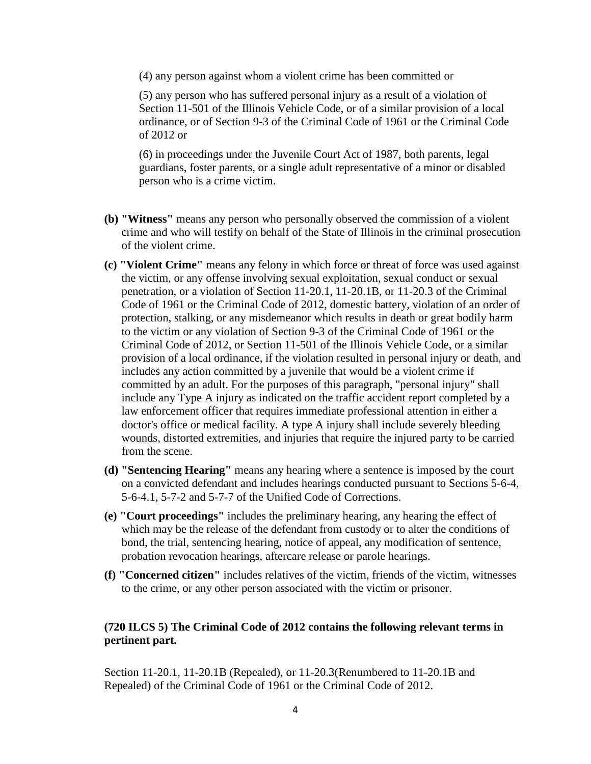(4) any person against whom a violent crime has been committed or

(5) any person who has suffered personal injury as a result of a violation of Section 11-501 of the Illinois Vehicle Code, or of a similar provision of a local ordinance, or of Section 9-3 of the Criminal Code of 1961 or the Criminal Code of 2012 or

(6) in proceedings under the Juvenile Court Act of 1987, both parents, legal guardians, foster parents, or a single adult representative of a minor or disabled person who is a crime victim.

- **(b) "Witness"** means any person who personally observed the commission of a violent crime and who will testify on behalf of the State of Illinois in the criminal prosecution of the violent crime.
- **(c) "Violent Crime"** means any felony in which force or threat of force was used against the victim, or any offense involving sexual exploitation, sexual conduct or sexual penetration, or a violation of Section 11-20.1, 11-20.1B, or 11-20.3 of the Criminal Code of 1961 or the Criminal Code of 2012, domestic battery, violation of an order of protection, stalking, or any misdemeanor which results in death or great bodily harm to the victim or any violation of Section 9-3 of the Criminal Code of 1961 or the Criminal Code of 2012, or Section 11-501 of the Illinois Vehicle Code, or a similar provision of a local ordinance, if the violation resulted in personal injury or death, and includes any action committed by a juvenile that would be a violent crime if committed by an adult. For the purposes of this paragraph, "personal injury" shall include any Type A injury as indicated on the traffic accident report completed by a law enforcement officer that requires immediate professional attention in either a doctor's office or medical facility. A type A injury shall include severely bleeding wounds, distorted extremities, and injuries that require the injured party to be carried from the scene.
- **(d) "Sentencing Hearing"** means any hearing where a sentence is imposed by the court on a convicted defendant and includes hearings conducted pursuant to Sections 5-6-4, 5-6-4.1, 5-7-2 and 5-7-7 of the Unified Code of Corrections.
- **(e) "Court proceedings"** includes the preliminary hearing, any hearing the effect of which may be the release of the defendant from custody or to alter the conditions of bond, the trial, sentencing hearing, notice of appeal, any modification of sentence, probation revocation hearings, aftercare release or parole hearings.
- **(f) "Concerned citizen"** includes relatives of the victim, friends of the victim, witnesses to the crime, or any other person associated with the victim or prisoner.

# **(720 ILCS 5) The Criminal Code of 2012 contains the following relevant terms in pertinent part.**

Section 11-20.1, 11-20.1B (Repealed), or 11-20.3(Renumbered to 11-20.1B and Repealed) of the Criminal Code of 1961 or the Criminal Code of 2012.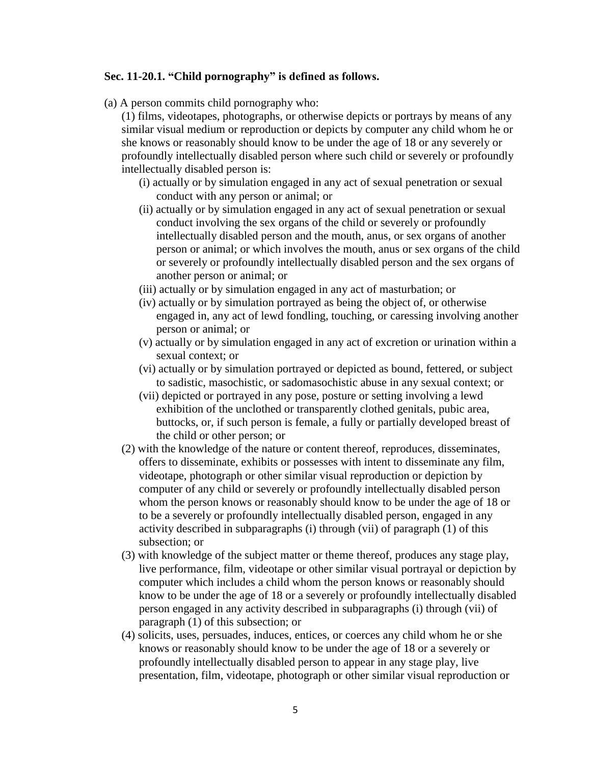#### **Sec. 11-20.1. "Child pornography" is defined as follows.**

(a) A person commits child pornography who:

(1) films, videotapes, photographs, or otherwise depicts or portrays by means of any similar visual medium or reproduction or depicts by computer any child whom he or she knows or reasonably should know to be under the age of 18 or any severely or profoundly intellectually disabled person where such child or severely or profoundly intellectually disabled person is:

- (i) actually or by simulation engaged in any act of sexual penetration or sexual conduct with any person or animal; or
- (ii) actually or by simulation engaged in any act of sexual penetration or sexual conduct involving the sex organs of the child or severely or profoundly intellectually disabled person and the mouth, anus, or sex organs of another person or animal; or which involves the mouth, anus or sex organs of the child or severely or profoundly intellectually disabled person and the sex organs of another person or animal; or
- (iii) actually or by simulation engaged in any act of masturbation; or
- (iv) actually or by simulation portrayed as being the object of, or otherwise engaged in, any act of lewd fondling, touching, or caressing involving another person or animal; or
- (v) actually or by simulation engaged in any act of excretion or urination within a sexual context; or
- (vi) actually or by simulation portrayed or depicted as bound, fettered, or subject to sadistic, masochistic, or sadomasochistic abuse in any sexual context; or
- (vii) depicted or portrayed in any pose, posture or setting involving a lewd exhibition of the unclothed or transparently clothed genitals, pubic area, buttocks, or, if such person is female, a fully or partially developed breast of the child or other person; or
- (2) with the knowledge of the nature or content thereof, reproduces, disseminates, offers to disseminate, exhibits or possesses with intent to disseminate any film, videotape, photograph or other similar visual reproduction or depiction by computer of any child or severely or profoundly intellectually disabled person whom the person knows or reasonably should know to be under the age of 18 or to be a severely or profoundly intellectually disabled person, engaged in any activity described in subparagraphs (i) through (vii) of paragraph (1) of this subsection; or
- (3) with knowledge of the subject matter or theme thereof, produces any stage play, live performance, film, videotape or other similar visual portrayal or depiction by computer which includes a child whom the person knows or reasonably should know to be under the age of 18 or a severely or profoundly intellectually disabled person engaged in any activity described in subparagraphs (i) through (vii) of paragraph (1) of this subsection; or
- (4) solicits, uses, persuades, induces, entices, or coerces any child whom he or she knows or reasonably should know to be under the age of 18 or a severely or profoundly intellectually disabled person to appear in any stage play, live presentation, film, videotape, photograph or other similar visual reproduction or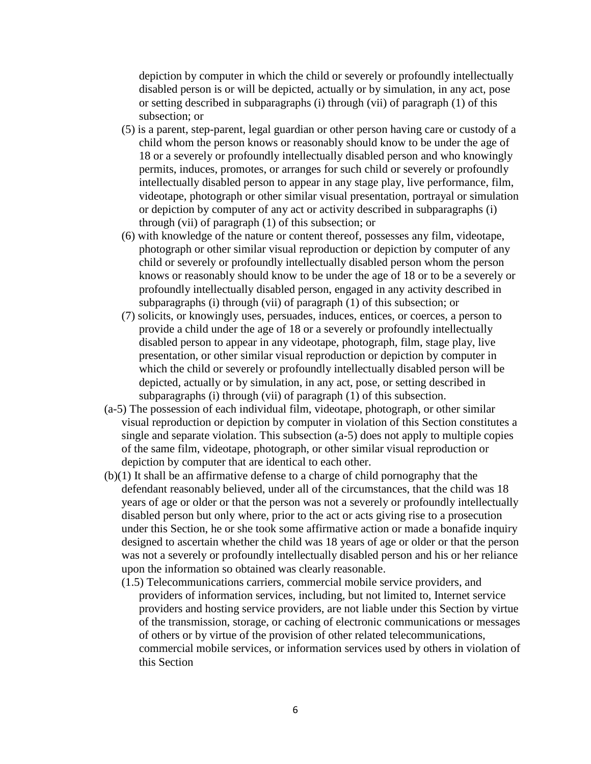depiction by computer in which the child or severely or profoundly intellectually disabled person is or will be depicted, actually or by simulation, in any act, pose or setting described in subparagraphs (i) through (vii) of paragraph (1) of this subsection; or

- (5) is a parent, step-parent, legal guardian or other person having care or custody of a child whom the person knows or reasonably should know to be under the age of 18 or a severely or profoundly intellectually disabled person and who knowingly permits, induces, promotes, or arranges for such child or severely or profoundly intellectually disabled person to appear in any stage play, live performance, film, videotape, photograph or other similar visual presentation, portrayal or simulation or depiction by computer of any act or activity described in subparagraphs (i) through (vii) of paragraph (1) of this subsection; or
- (6) with knowledge of the nature or content thereof, possesses any film, videotape, photograph or other similar visual reproduction or depiction by computer of any child or severely or profoundly intellectually disabled person whom the person knows or reasonably should know to be under the age of 18 or to be a severely or profoundly intellectually disabled person, engaged in any activity described in subparagraphs (i) through (vii) of paragraph (1) of this subsection; or
- (7) solicits, or knowingly uses, persuades, induces, entices, or coerces, a person to provide a child under the age of 18 or a severely or profoundly intellectually disabled person to appear in any videotape, photograph, film, stage play, live presentation, or other similar visual reproduction or depiction by computer in which the child or severely or profoundly intellectually disabled person will be depicted, actually or by simulation, in any act, pose, or setting described in subparagraphs (i) through (vii) of paragraph (1) of this subsection.
- (a-5) The possession of each individual film, videotape, photograph, or other similar visual reproduction or depiction by computer in violation of this Section constitutes a single and separate violation. This subsection (a-5) does not apply to multiple copies of the same film, videotape, photograph, or other similar visual reproduction or depiction by computer that are identical to each other.
- (b)(1) It shall be an affirmative defense to a charge of child pornography that the defendant reasonably believed, under all of the circumstances, that the child was 18 years of age or older or that the person was not a severely or profoundly intellectually disabled person but only where, prior to the act or acts giving rise to a prosecution under this Section, he or she took some affirmative action or made a bonafide inquiry designed to ascertain whether the child was 18 years of age or older or that the person was not a severely or profoundly intellectually disabled person and his or her reliance upon the information so obtained was clearly reasonable.
	- (1.5) Telecommunications carriers, commercial mobile service providers, and providers of information services, including, but not limited to, Internet service providers and hosting service providers, are not liable under this Section by virtue of the transmission, storage, or caching of electronic communications or messages of others or by virtue of the provision of other related telecommunications, commercial mobile services, or information services used by others in violation of this Section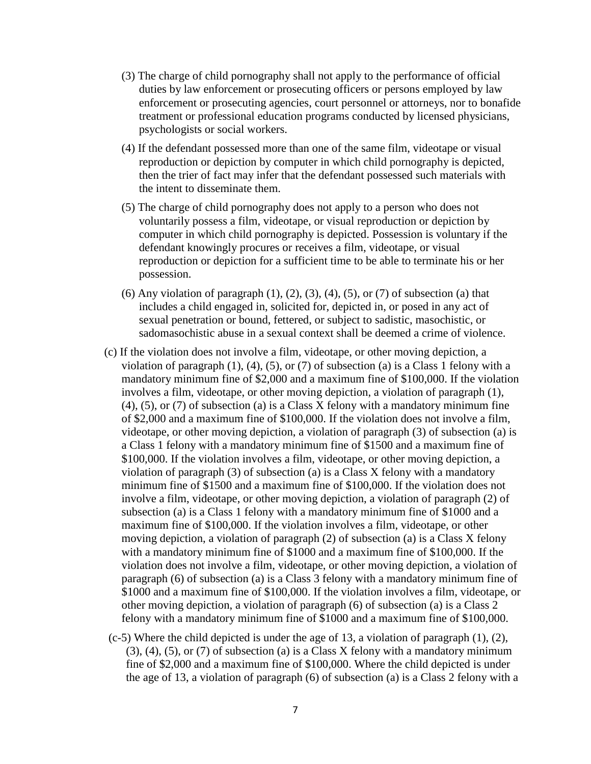- (3) The charge of child pornography shall not apply to the performance of official duties by law enforcement or prosecuting officers or persons employed by law enforcement or prosecuting agencies, court personnel or attorneys, nor to bonafide treatment or professional education programs conducted by licensed physicians, psychologists or social workers.
- (4) If the defendant possessed more than one of the same film, videotape or visual reproduction or depiction by computer in which child pornography is depicted, then the trier of fact may infer that the defendant possessed such materials with the intent to disseminate them.
- (5) The charge of child pornography does not apply to a person who does not voluntarily possess a film, videotape, or visual reproduction or depiction by computer in which child pornography is depicted. Possession is voluntary if the defendant knowingly procures or receives a film, videotape, or visual reproduction or depiction for a sufficient time to be able to terminate his or her possession.
- $(6)$  Any violation of paragraph  $(1)$ ,  $(2)$ ,  $(3)$ ,  $(4)$ ,  $(5)$ , or  $(7)$  of subsection  $(a)$  that includes a child engaged in, solicited for, depicted in, or posed in any act of sexual penetration or bound, fettered, or subject to sadistic, masochistic, or sadomasochistic abuse in a sexual context shall be deemed a crime of violence.
- (c) If the violation does not involve a film, videotape, or other moving depiction, a violation of paragraph  $(1)$ ,  $(4)$ ,  $(5)$ , or  $(7)$  of subsection  $(a)$  is a Class 1 felony with a mandatory minimum fine of \$2,000 and a maximum fine of \$100,000. If the violation involves a film, videotape, or other moving depiction, a violation of paragraph (1), (4), (5), or (7) of subsection (a) is a Class X felony with a mandatory minimum fine of \$2,000 and a maximum fine of \$100,000. If the violation does not involve a film, videotape, or other moving depiction, a violation of paragraph (3) of subsection (a) is a Class 1 felony with a mandatory minimum fine of \$1500 and a maximum fine of \$100,000. If the violation involves a film, videotape, or other moving depiction, a violation of paragraph (3) of subsection (a) is a Class X felony with a mandatory minimum fine of \$1500 and a maximum fine of \$100,000. If the violation does not involve a film, videotape, or other moving depiction, a violation of paragraph (2) of subsection (a) is a Class 1 felony with a mandatory minimum fine of \$1000 and a maximum fine of \$100,000. If the violation involves a film, videotape, or other moving depiction, a violation of paragraph (2) of subsection (a) is a Class X felony with a mandatory minimum fine of \$1000 and a maximum fine of \$100,000. If the violation does not involve a film, videotape, or other moving depiction, a violation of paragraph (6) of subsection (a) is a Class 3 felony with a mandatory minimum fine of \$1000 and a maximum fine of \$100,000. If the violation involves a film, videotape, or other moving depiction, a violation of paragraph (6) of subsection (a) is a Class 2 felony with a mandatory minimum fine of \$1000 and a maximum fine of \$100,000.
- $(c-5)$  Where the child depicted is under the age of 13, a violation of paragraph  $(1)$ ,  $(2)$ , (3), (4), (5), or (7) of subsection (a) is a Class X felony with a mandatory minimum fine of \$2,000 and a maximum fine of \$100,000. Where the child depicted is under the age of 13, a violation of paragraph (6) of subsection (a) is a Class 2 felony with a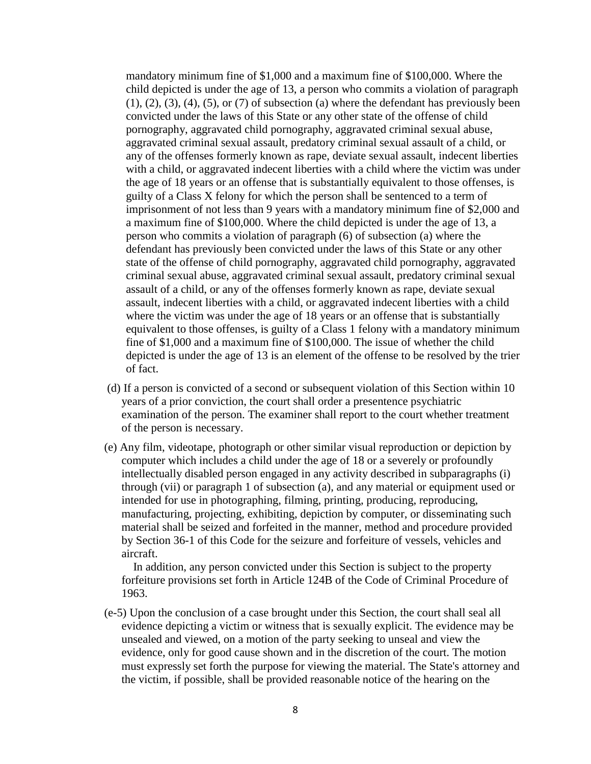mandatory minimum fine of \$1,000 and a maximum fine of \$100,000. Where the child depicted is under the age of 13, a person who commits a violation of paragraph  $(1)$ ,  $(2)$ ,  $(3)$ ,  $(4)$ ,  $(5)$ , or  $(7)$  of subsection  $(a)$  where the defendant has previously been convicted under the laws of this State or any other state of the offense of child pornography, aggravated child pornography, aggravated criminal sexual abuse, aggravated criminal sexual assault, predatory criminal sexual assault of a child, or any of the offenses formerly known as rape, deviate sexual assault, indecent liberties with a child, or aggravated indecent liberties with a child where the victim was under the age of 18 years or an offense that is substantially equivalent to those offenses, is guilty of a Class X felony for which the person shall be sentenced to a term of imprisonment of not less than 9 years with a mandatory minimum fine of \$2,000 and a maximum fine of \$100,000. Where the child depicted is under the age of 13, a person who commits a violation of paragraph (6) of subsection (a) where the defendant has previously been convicted under the laws of this State or any other state of the offense of child pornography, aggravated child pornography, aggravated criminal sexual abuse, aggravated criminal sexual assault, predatory criminal sexual assault of a child, or any of the offenses formerly known as rape, deviate sexual assault, indecent liberties with a child, or aggravated indecent liberties with a child where the victim was under the age of 18 years or an offense that is substantially equivalent to those offenses, is guilty of a Class 1 felony with a mandatory minimum fine of \$1,000 and a maximum fine of \$100,000. The issue of whether the child depicted is under the age of 13 is an element of the offense to be resolved by the trier of fact.

- (d) If a person is convicted of a second or subsequent violation of this Section within 10 years of a prior conviction, the court shall order a presentence psychiatric examination of the person. The examiner shall report to the court whether treatment of the person is necessary.
- (e) Any film, videotape, photograph or other similar visual reproduction or depiction by computer which includes a child under the age of 18 or a severely or profoundly intellectually disabled person engaged in any activity described in subparagraphs (i) through (vii) or paragraph 1 of subsection (a), and any material or equipment used or intended for use in photographing, filming, printing, producing, reproducing, manufacturing, projecting, exhibiting, depiction by computer, or disseminating such material shall be seized and forfeited in the manner, method and procedure provided by Section 36-1 of this Code for the seizure and forfeiture of vessels, vehicles and aircraft.

 In addition, any person convicted under this Section is subject to the property forfeiture provisions set forth in Article 124B of the Code of Criminal Procedure of 1963.

(e-5) Upon the conclusion of a case brought under this Section, the court shall seal all evidence depicting a victim or witness that is sexually explicit. The evidence may be unsealed and viewed, on a motion of the party seeking to unseal and view the evidence, only for good cause shown and in the discretion of the court. The motion must expressly set forth the purpose for viewing the material. The State's attorney and the victim, if possible, shall be provided reasonable notice of the hearing on the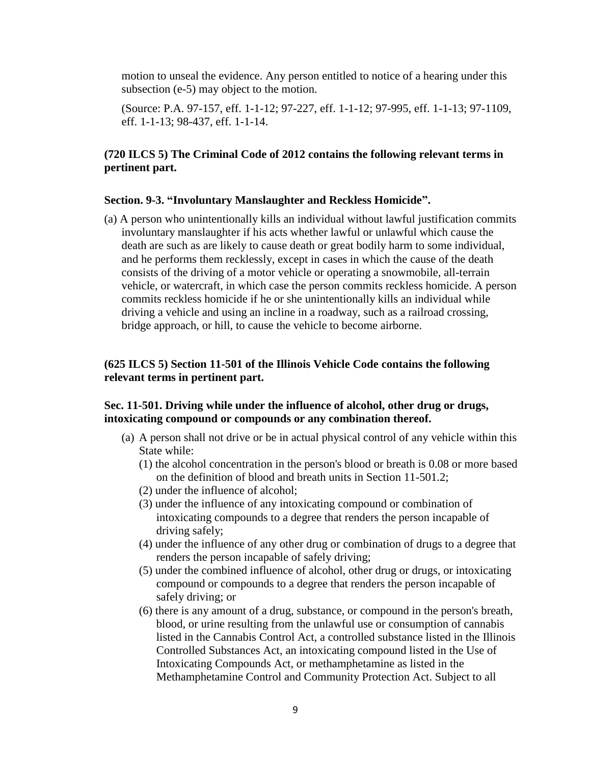motion to unseal the evidence. Any person entitled to notice of a hearing under this subsection (e-5) may object to the motion.

(Source: P.A. 97-157, eff. 1-1-12; 97-227, eff. 1-1-12; 97-995, eff. 1-1-13; 97-1109, eff. 1-1-13; 98-437, eff. 1-1-14.

# **(720 ILCS 5) The Criminal Code of 2012 contains the following relevant terms in pertinent part.**

#### **Section. 9-3. "Involuntary Manslaughter and Reckless Homicide".**

(a) A person who unintentionally kills an individual without lawful justification commits involuntary manslaughter if his acts whether lawful or unlawful which cause the death are such as are likely to cause death or great bodily harm to some individual, and he performs them recklessly, except in cases in which the cause of the death consists of the driving of a motor vehicle or operating a snowmobile, all-terrain vehicle, or watercraft, in which case the person commits reckless homicide. A person commits reckless homicide if he or she unintentionally kills an individual while driving a vehicle and using an incline in a roadway, such as a railroad crossing, bridge approach, or hill, to cause the vehicle to become airborne.

# **(625 ILCS 5) Section 11-501 of the Illinois Vehicle Code contains the following relevant terms in pertinent part.**

## **Sec. 11-501. Driving while under the influence of alcohol, other drug or drugs, intoxicating compound or compounds or any combination thereof.**

- (a) A person shall not drive or be in actual physical control of any vehicle within this State while:
	- (1) the alcohol concentration in the person's blood or breath is 0.08 or more based on the definition of blood and breath units in Section 11-501.2;
	- (2) under the influence of alcohol;
	- (3) under the influence of any intoxicating compound or combination of intoxicating compounds to a degree that renders the person incapable of driving safely;
	- (4) under the influence of any other drug or combination of drugs to a degree that renders the person incapable of safely driving;
	- (5) under the combined influence of alcohol, other drug or drugs, or intoxicating compound or compounds to a degree that renders the person incapable of safely driving; or
	- (6) there is any amount of a drug, substance, or compound in the person's breath, blood, or urine resulting from the unlawful use or consumption of cannabis listed in the Cannabis Control Act, a controlled substance listed in the Illinois Controlled Substances Act, an intoxicating compound listed in the Use of Intoxicating Compounds Act, or methamphetamine as listed in the Methamphetamine Control and Community Protection Act. Subject to all